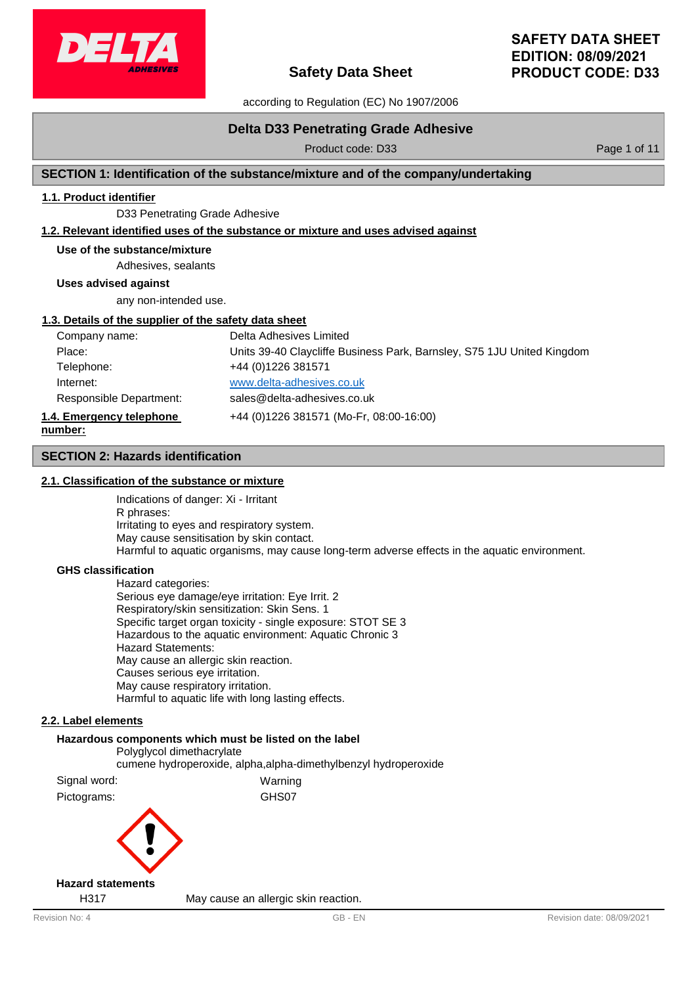

according to Regulation (EC) No 1907/2006

# **Delta D33 Penetrating Grade Adhesive**

Product code: D33 Product code: D33

# **SECTION 1: Identification of the substance/mixture and of the company/undertaking**

# **1.1. Product identifier**

D33 Penetrating Grade Adhesive

### **1.2. Relevant identified uses of the substance or mixture and uses advised against**

#### **Use of the substance/mixture**

Adhesives, sealants

**Uses advised against**

any non-intended use.

### **1.3. Details of the supplier of the safety data sheet**

| Company name:            | Delta Adhesives Limited                                                |
|--------------------------|------------------------------------------------------------------------|
| Place:                   | Units 39-40 Claycliffe Business Park, Barnsley, S75 1JU United Kingdom |
| Telephone:               | +44 (0) 1226 381571                                                    |
| Internet:                | www.delta-adhesives.co.uk                                              |
| Responsible Department:  | sales@delta-adhesives.co.uk                                            |
| 1.4. Emergency telephone | +44 (0)1226 381571 (Mo-Fr, 08:00-16:00)                                |
| number:                  |                                                                        |

### **SECTION 2: Hazards identification**

#### **2.1. Classification of the substance or mixture**

Indications of danger: Xi - Irritant R phrases: Irritating to eyes and respiratory system. May cause sensitisation by skin contact. Harmful to aquatic organisms, may cause long-term adverse effects in the aquatic environment.

#### **GHS classification**

Hazard categories: Serious eye damage/eye irritation: Eye Irrit. 2 Respiratory/skin sensitization: Skin Sens. 1 Specific target organ toxicity - single exposure: STOT SE 3 Hazardous to the aquatic environment: Aquatic Chronic 3 Hazard Statements: May cause an allergic skin reaction. Causes serious eye irritation. May cause respiratory irritation. Harmful to aquatic life with long lasting effects.

# **2.2. Label elements**

# **Hazardous components which must be listed on the label** Polyglycol dimethacrylate cumene hydroperoxide, alpha,alpha-dimethylbenzyl hydroperoxide Signal word: Warning Pictograms: GHS07

# **Hazard statements**

H317 May cause an allergic skin reaction.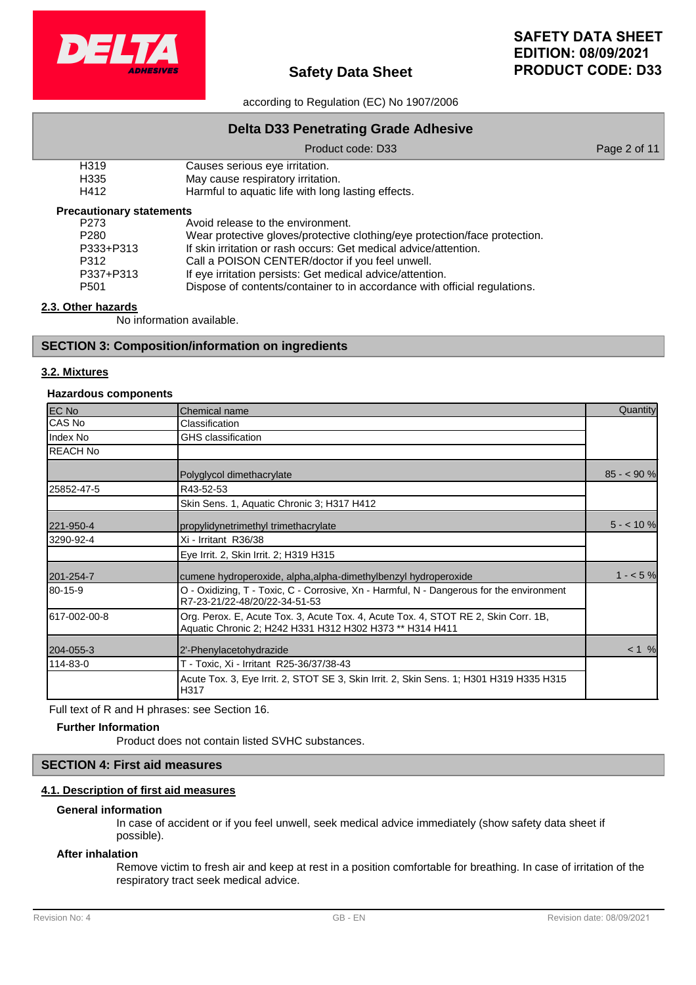

according to Regulation (EC) No 1907/2006

# **Delta D33 Penetrating Grade Adhesive**

### Product code: D33 Product code: D33

| H <sub>3</sub> 19 | Causes serious eye irritation.   |
|-------------------|----------------------------------|
| ロっった              | May cause respiratory irritation |

H335 May cause respiratory irritation. Harmful to aquatic life with long lasting effects.

#### **Precautionary statements**

| P273             | Avoid release to the environment.                                          |
|------------------|----------------------------------------------------------------------------|
| P <sub>280</sub> | Wear protective gloves/protective clothing/eye protection/face protection. |
| P333+P313        | If skin irritation or rash occurs: Get medical advice/attention.           |
| P312             | Call a POISON CENTER/doctor if you feel unwell.                            |
| P337+P313        | If eye irritation persists: Get medical advice/attention.                  |
| P <sub>501</sub> | Dispose of contents/container to in accordance with official regulations.  |

# **2.3. Other hazards**

No information available.

# **SECTION 3: Composition/information on ingredients**

# **3.2. Mixtures**

# **Hazardous components**

| <b>EC No</b>    | Chemical name                                                                                                                                  | Quantity   |
|-----------------|------------------------------------------------------------------------------------------------------------------------------------------------|------------|
| CAS No          | Classification                                                                                                                                 |            |
| Index No        | <b>GHS</b> classification                                                                                                                      |            |
| <b>REACH No</b> |                                                                                                                                                |            |
|                 | Polyglycol dimethacrylate                                                                                                                      | $85 - 90%$ |
| 25852-47-5      | R43-52-53                                                                                                                                      |            |
|                 | Skin Sens. 1, Aquatic Chronic 3; H317 H412                                                                                                     |            |
| 221-950-4       | propylidynetrimethyl trimethacrylate                                                                                                           | $5 - 10%$  |
| 3290-92-4       | Xi - Irritant R36/38                                                                                                                           |            |
|                 | Eye Irrit. 2, Skin Irrit. 2; H319 H315                                                                                                         |            |
| 201-254-7       | cumene hydroperoxide, alpha, alpha-dimethylbenzyl hydroperoxide                                                                                | $1 - 5%$   |
| 80-15-9         | O - Oxidizing, T - Toxic, C - Corrosive, Xn - Harmful, N - Dangerous for the environment<br>R7-23-21/22-48/20/22-34-51-53                      |            |
| 617-002-00-8    | Org. Perox. E, Acute Tox. 3, Acute Tox. 4, Acute Tox. 4, STOT RE 2, Skin Corr. 1B,<br>Aquatic Chronic 2; H242 H331 H312 H302 H373 ** H314 H411 |            |
| 204-055-3       | 2'-Phenylacetohydrazide                                                                                                                        | < 1 %      |
| 114-83-0        | T - Toxic, Xi - Irritant R25-36/37/38-43                                                                                                       |            |
|                 | Acute Tox. 3, Eye Irrit. 2, STOT SE 3, Skin Irrit. 2, Skin Sens. 1; H301 H319 H335 H315<br>H317                                                |            |

Full text of R and H phrases: see Section 16.

#### **Further Information**

Product does not contain listed SVHC substances.

# **SECTION 4: First aid measures**

# **4.1. Description of first aid measures**

#### **General information**

In case of accident or if you feel unwell, seek medical advice immediately (show safety data sheet if possible).

#### **After inhalation**

Remove victim to fresh air and keep at rest in a position comfortable for breathing. In case of irritation of the respiratory tract seek medical advice.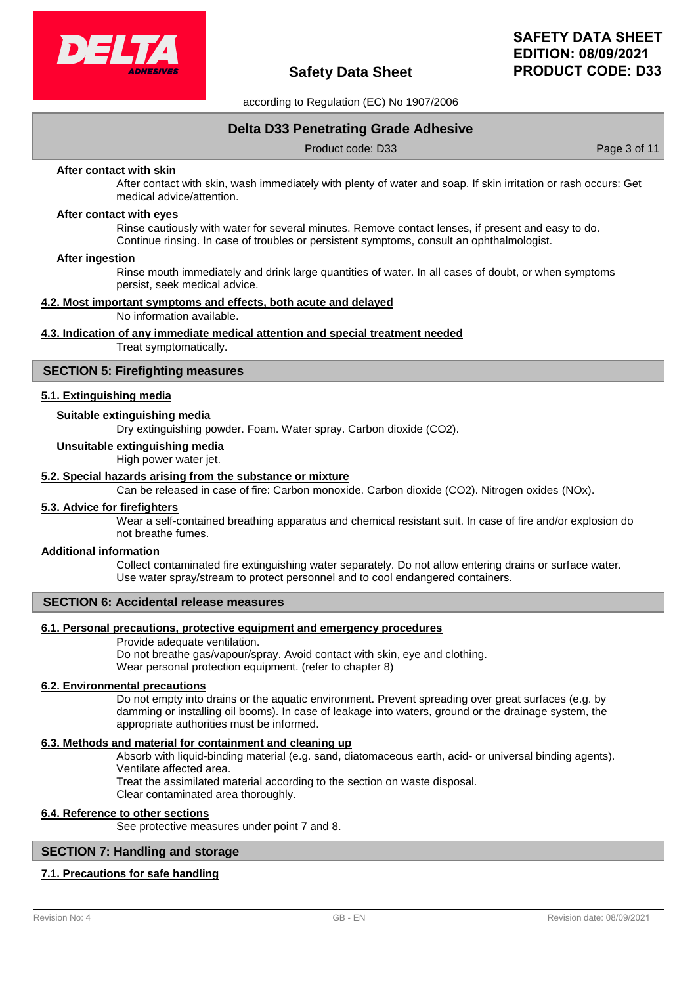

according to Regulation (EC) No 1907/2006

# **Delta D33 Penetrating Grade Adhesive**

Product code: D33 Product code: D33

#### **After contact with skin**

After contact with skin, wash immediately with plenty of water and soap. If skin irritation or rash occurs: Get medical advice/attention.

#### **After contact with eyes**

Rinse cautiously with water for several minutes. Remove contact lenses, if present and easy to do. Continue rinsing. In case of troubles or persistent symptoms, consult an ophthalmologist.

#### **After ingestion**

Rinse mouth immediately and drink large quantities of water. In all cases of doubt, or when symptoms persist, seek medical advice.

### **4.2. Most important symptoms and effects, both acute and delayed**

No information available.

#### **4.3. Indication of any immediate medical attention and special treatment needed**

Treat symptomatically.

#### **SECTION 5: Firefighting measures**

#### **5.1. Extinguishing media**

### **Suitable extinguishing media**

Dry extinguishing powder. Foam. Water spray. Carbon dioxide (CO2).

#### **Unsuitable extinguishing media**

High power water jet.

#### **5.2. Special hazards arising from the substance or mixture**

Can be released in case of fire: Carbon monoxide. Carbon dioxide (CO2). Nitrogen oxides (NOx).

### **5.3. Advice for firefighters**

Wear a self-contained breathing apparatus and chemical resistant suit. In case of fire and/or explosion do not breathe fumes.

#### **Additional information**

Collect contaminated fire extinguishing water separately. Do not allow entering drains or surface water. Use water spray/stream to protect personnel and to cool endangered containers.

#### **SECTION 6: Accidental release measures**

#### **6.1. Personal precautions, protective equipment and emergency procedures**

Provide adequate ventilation.

Do not breathe gas/vapour/spray. Avoid contact with skin, eye and clothing. Wear personal protection equipment. (refer to chapter 8)

#### **6.2. Environmental precautions**

Do not empty into drains or the aquatic environment. Prevent spreading over great surfaces (e.g. by damming or installing oil booms). In case of leakage into waters, ground or the drainage system, the appropriate authorities must be informed.

#### **6.3. Methods and material for containment and cleaning up**

Absorb with liquid-binding material (e.g. sand, diatomaceous earth, acid- or universal binding agents). Ventilate affected area.

Treat the assimilated material according to the section on waste disposal.

Clear contaminated area thoroughly.

### **6.4. Reference to other sections**

See protective measures under point 7 and 8.

#### **SECTION 7: Handling and storage**

#### **7.1. Precautions for safe handling**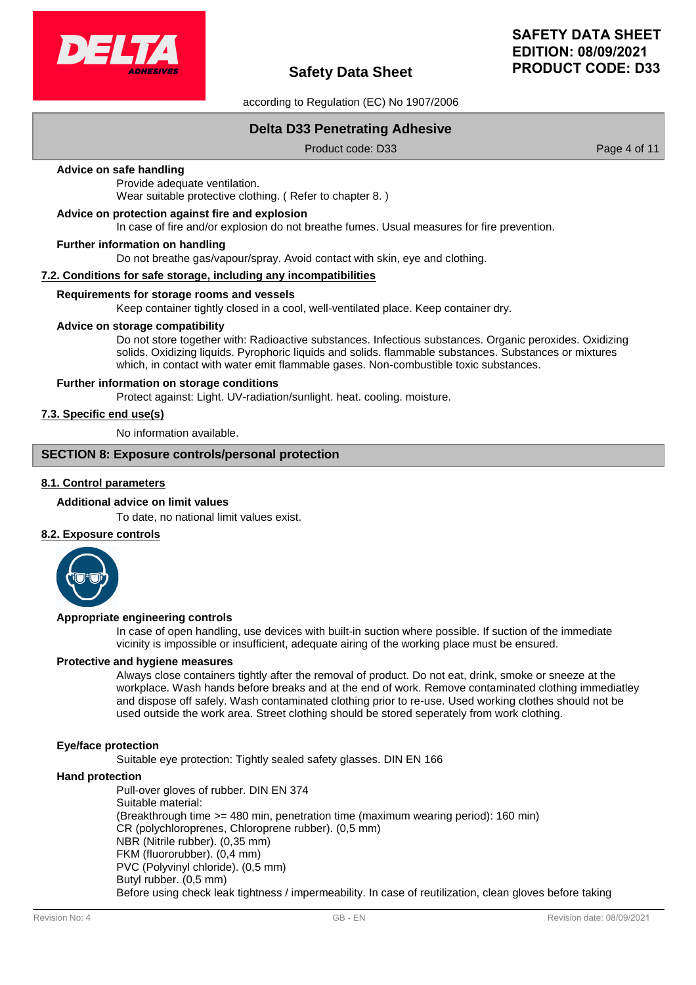

according to Regulation (EC) No 1907/2006

# **Delta D33 Penetrating Adhesive**

Product code: D33 Product code: D33

### **Advice on safe handling**

Provide adequate ventilation. Wear suitable protective clothing. ( Refer to chapter 8. )

#### **Advice on protection against fire and explosion**

In case of fire and/or explosion do not breathe fumes. Usual measures for fire prevention.

#### **Further information on handling**

Do not breathe gas/vapour/spray. Avoid contact with skin, eye and clothing.

### **7.2. Conditions for safe storage, including any incompatibilities**

#### **Requirements for storage rooms and vessels**

Keep container tightly closed in a cool, well-ventilated place. Keep container dry.

# **Advice on storage compatibility**

Do not store together with: Radioactive substances. Infectious substances. Organic peroxides. Oxidizing solids. Oxidizing liquids. Pyrophoric liquids and solids. flammable substances. Substances or mixtures which, in contact with water emit flammable gases. Non-combustible toxic substances.

#### **Further information on storage conditions**

Protect against: Light. UV-radiation/sunlight. heat. cooling. moisture.

# **7.3. Specific end use(s)**

No information available.

# **SECTION 8: Exposure controls/personal protection**

# **8.1. Control parameters**

#### **Additional advice on limit values**

To date, no national limit values exist.

### **8.2. Exposure controls**



#### **Appropriate engineering controls**

In case of open handling, use devices with built-in suction where possible. If suction of the immediate vicinity is impossible or insufficient, adequate airing of the working place must be ensured.

#### **Protective and hygiene measures**

Always close containers tightly after the removal of product. Do not eat, drink, smoke or sneeze at the workplace. Wash hands before breaks and at the end of work. Remove contaminated clothing immediatley and dispose off safely. Wash contaminated clothing prior to re-use. Used working clothes should not be used outside the work area. Street clothing should be stored seperately from work clothing.

#### **Eye/face protection**

Suitable eye protection: Tightly sealed safety glasses. DIN EN 166

#### **Hand protection**

Pull-over gloves of rubber. DIN EN 374 Suitable material: (Breakthrough time >= 480 min, penetration time (maximum wearing period): 160 min) CR (polychloroprenes, Chloroprene rubber). (0,5 mm) NBR (Nitrile rubber). (0,35 mm) FKM (fluororubber). (0,4 mm) PVC (Polyvinyl chloride). (0,5 mm) Butyl rubber. (0,5 mm) Before using check leak tightness / impermeability. In case of reutilization, clean gloves before taking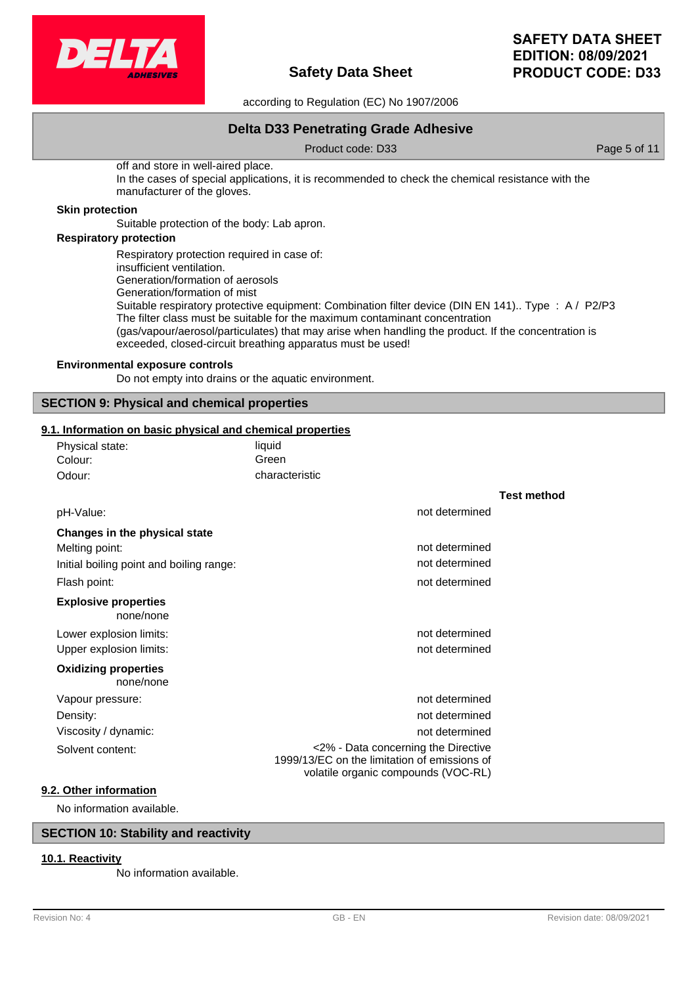

according to Regulation (EC) No 1907/2006

# **Delta D33 Penetrating Grade Adhesive**

Product code: D33 Product code: D33

off and store in well-aired place. In the cases of special applications, it is recommended to check the chemical resistance with the manufacturer of the gloves.

#### **Skin protection**

Suitable protection of the body: Lab apron.

# **Respiratory protection**

Respiratory protection required in case of: insufficient ventilation. Generation/formation of aerosols Generation/formation of mist Suitable respiratory protective equipment: Combination filter device (DIN EN 141).. Type : A / P2/P3 The filter class must be suitable for the maximum contaminant concentration (gas/vapour/aerosol/particulates) that may arise when handling the product. If the concentration is exceeded, closed-circuit breathing apparatus must be used!

### **Environmental exposure controls**

Do not empty into drains or the aquatic environment.

# **SECTION 9: Physical and chemical properties**

# **9.1. Information on basic physical and chemical properties**

| Physical state: | liauid         |
|-----------------|----------------|
| Colour:         | Green          |
| Odour:          | characteristic |

|                                          |                                                                                                                            | <b>Test method</b> |
|------------------------------------------|----------------------------------------------------------------------------------------------------------------------------|--------------------|
| pH-Value:                                | not determined                                                                                                             |                    |
| Changes in the physical state            |                                                                                                                            |                    |
| Melting point:                           | not determined                                                                                                             |                    |
| Initial boiling point and boiling range: | not determined                                                                                                             |                    |
| Flash point:                             | not determined                                                                                                             |                    |
| <b>Explosive properties</b><br>none/none |                                                                                                                            |                    |
| Lower explosion limits:                  | not determined                                                                                                             |                    |
| Upper explosion limits:                  | not determined                                                                                                             |                    |
| <b>Oxidizing properties</b><br>none/none |                                                                                                                            |                    |
| Vapour pressure:                         | not determined                                                                                                             |                    |
| Density:                                 | not determined                                                                                                             |                    |
| Viscosity / dynamic:                     | not determined                                                                                                             |                    |
| Solvent content:                         | <2% - Data concerning the Directive<br>1999/13/EC on the limitation of emissions of<br>volatile organic compounds (VOC-RL) |                    |
| Other information                        |                                                                                                                            |                    |

# **9.2**

No information available.

# **SECTION 10: Stability and reactivity**

# **10.1. Reactivity**

No information available.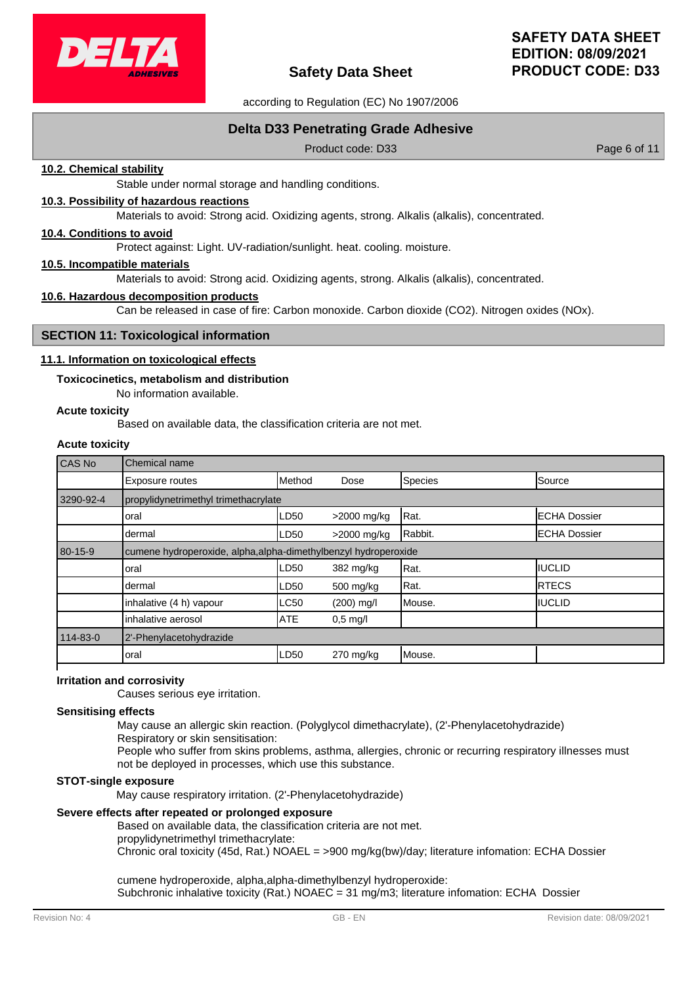

according to Regulation (EC) No 1907/2006

# **Delta D33 Penetrating Grade Adhesive**

Product code: D33 Product code: D33

#### **10.2. Chemical stability**

Stable under normal storage and handling conditions.

# **10.3. Possibility of hazardous reactions**

Materials to avoid: Strong acid. Oxidizing agents, strong. Alkalis (alkalis), concentrated.

# **10.4. Conditions to avoid**

Protect against: Light. UV-radiation/sunlight. heat. cooling. moisture.

#### **10.5. Incompatible materials**

Materials to avoid: Strong acid. Oxidizing agents, strong. Alkalis (alkalis), concentrated.

#### **10.6. Hazardous decomposition products**

Can be released in case of fire: Carbon monoxide. Carbon dioxide (CO2). Nitrogen oxides (NOx).

# **SECTION 11: Toxicological information**

#### **11.1. Information on toxicological effects**

#### **Toxicocinetics, metabolism and distribution**

No information available.

#### **Acute toxicity**

Based on available data, the classification criteria are not met.

# **Acute toxicity**

| CAS No        | Chemical name                                                   |            |             |         |                      |
|---------------|-----------------------------------------------------------------|------------|-------------|---------|----------------------|
|               | Exposure routes                                                 | Method     | Dose        | Species | Source               |
| 3290-92-4     | propylidynetrimethyl trimethacrylate                            |            |             |         |                      |
|               | oral                                                            | LD50       | >2000 mg/kg | Rat.    | <b>IECHA Dossier</b> |
|               | dermal                                                          | LD50       | >2000 mg/kg | Rabbit. | <b>ECHA Dossier</b>  |
| $80 - 15 - 9$ | cumene hydroperoxide, alpha, alpha-dimethylbenzyl hydroperoxide |            |             |         |                      |
|               | loral                                                           | LD50       | 382 mg/kg   | Rat.    | IIUCLID              |
|               | dermal                                                          | LD50       | 500 mg/kg   | Rat.    | <b>IRTECS</b>        |
|               | inhalative (4 h) vapour                                         | LC50       | (200) mg/l  | Mouse.  | <b>IIUCLID</b>       |
|               | inhalative aerosol                                              | <b>ATE</b> | $0.5$ mg/l  |         |                      |
| 114-83-0      | 2'-Phenylacetohydrazide                                         |            |             |         |                      |
|               | oral                                                            | LD50       | $270$ mg/kg | Mouse.  |                      |
|               |                                                                 |            |             |         |                      |

# **Irritation and corrosivity**

Causes serious eye irritation.

#### **Sensitising effects**

May cause an allergic skin reaction. (Polyglycol dimethacrylate), (2'-Phenylacetohydrazide)

Respiratory or skin sensitisation:

People who suffer from skins problems, asthma, allergies, chronic or recurring respiratory illnesses must not be deployed in processes, which use this substance.

#### **STOT-single exposure**

May cause respiratory irritation. (2'-Phenylacetohydrazide)

# **Severe effects after repeated or prolonged exposure**

Based on available data, the classification criteria are not met. propylidynetrimethyl trimethacrylate:

Chronic oral toxicity (45d, Rat.) NOAEL = >900 mg/kg(bw)/day; literature infomation: ECHA Dossier

cumene hydroperoxide, alpha,alpha-dimethylbenzyl hydroperoxide: Subchronic inhalative toxicity (Rat.) NOAEC = 31 mg/m3; literature infomation: ECHA Dossier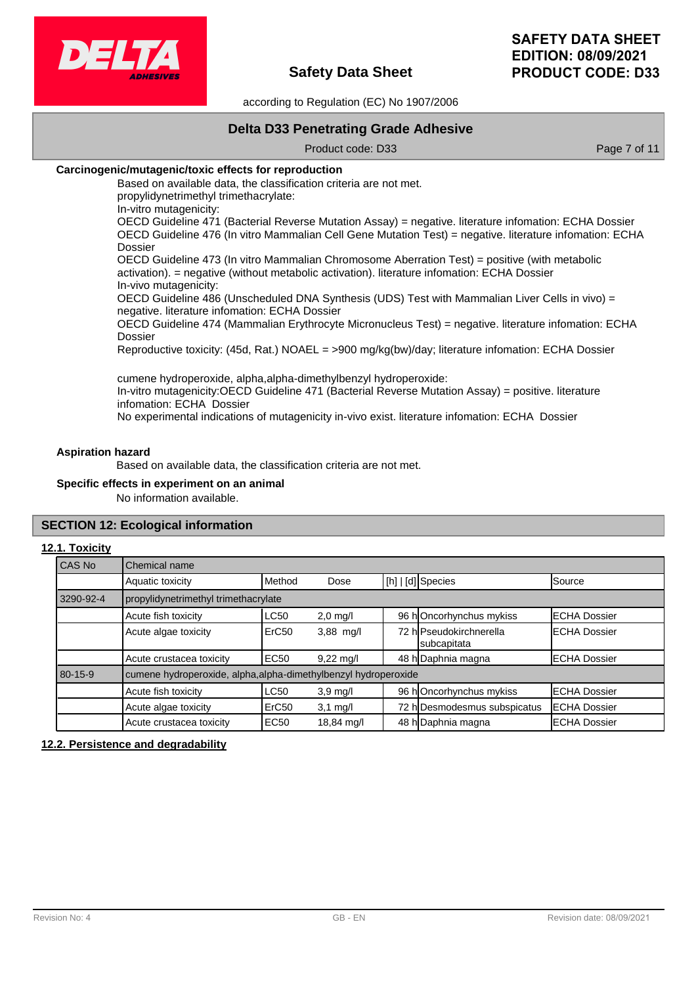

according to Regulation (EC) No 1907/2006

# **Delta D33 Penetrating Grade Adhesive**

Product code: D33 Product code: D33

# **Carcinogenic/mutagenic/toxic effects for reproduction**

Based on available data, the classification criteria are not met. propylidynetrimethyl trimethacrylate: In-vitro mutagenicity:

OECD Guideline 471 (Bacterial Reverse Mutation Assay) = negative. literature infomation: ECHA Dossier OECD Guideline 476 (In vitro Mammalian Cell Gene Mutation Test) = negative. literature infomation: ECHA Dossier

OECD Guideline 473 (In vitro Mammalian Chromosome Aberration Test) = positive (with metabolic activation). = negative (without metabolic activation). literature infomation: ECHA Dossier In-vivo mutagenicity:

OECD Guideline 486 (Unscheduled DNA Synthesis (UDS) Test with Mammalian Liver Cells in vivo) = negative. literature infomation: ECHA Dossier

OECD Guideline 474 (Mammalian Erythrocyte Micronucleus Test) = negative. literature infomation: ECHA Dossier

Reproductive toxicity: (45d, Rat.) NOAEL = >900 mg/kg(bw)/day; literature infomation: ECHA Dossier

cumene hydroperoxide, alpha,alpha-dimethylbenzyl hydroperoxide: In-vitro mutagenicity:OECD Guideline 471 (Bacterial Reverse Mutation Assay) = positive. literature infomation: ECHA Dossier No experimental indications of mutagenicity in-vivo exist. literature infomation: ECHA Dossier

#### **Aspiration hazard**

Based on available data, the classification criteria are not met.

#### **Specific effects in experiment on an animal**

No information available.

# **SECTION 12: Ecological information**

#### **12.1. Toxicity**

| CAS No    | Chemical name                                                   |                   |                        |  |                                        |                      |
|-----------|-----------------------------------------------------------------|-------------------|------------------------|--|----------------------------------------|----------------------|
|           | Aquatic toxicity                                                | Method            | Dose                   |  | [h]   [d] Species                      | Source               |
| 3290-92-4 | propylidynetrimethyl trimethacrylate                            |                   |                        |  |                                        |                      |
|           | Acute fish toxicity                                             | <b>LC50</b>       | $2,0$ mg/l             |  | 96 hOncorhynchus mykiss                | <b>IECHA Dossier</b> |
|           | Acute algae toxicity                                            | ErC <sub>50</sub> | $3,88$ mg/l            |  | 72 hlPseudokirchnerella<br>subcapitata | <b>IECHA Dossier</b> |
|           | Acute crustacea toxicity                                        | <b>EC50</b>       | $9,22 \,\mathrm{mg/l}$ |  | 48 h Daphnia magna                     | <b>ECHA Dossier</b>  |
| 80-15-9   | cumene hydroperoxide, alpha, alpha-dimethylbenzyl hydroperoxide |                   |                        |  |                                        |                      |
|           | Acute fish toxicity                                             | <b>LC50</b>       | $3,9 \text{ mg/l}$     |  | 96 hOncorhynchus mykiss                | <b>IECHA Dossier</b> |
|           | Acute algae toxicity                                            | ErC <sub>50</sub> | $3,1$ mg/l             |  | 72 h Desmodesmus subspicatus           | <b>ECHA Dossier</b>  |
|           | Acute crustacea toxicity                                        | <b>EC50</b>       | 18,84 mg/l             |  | 48 h Daphnia magna                     | <b>IECHA Dossier</b> |

# **12.2. Persistence and degradability**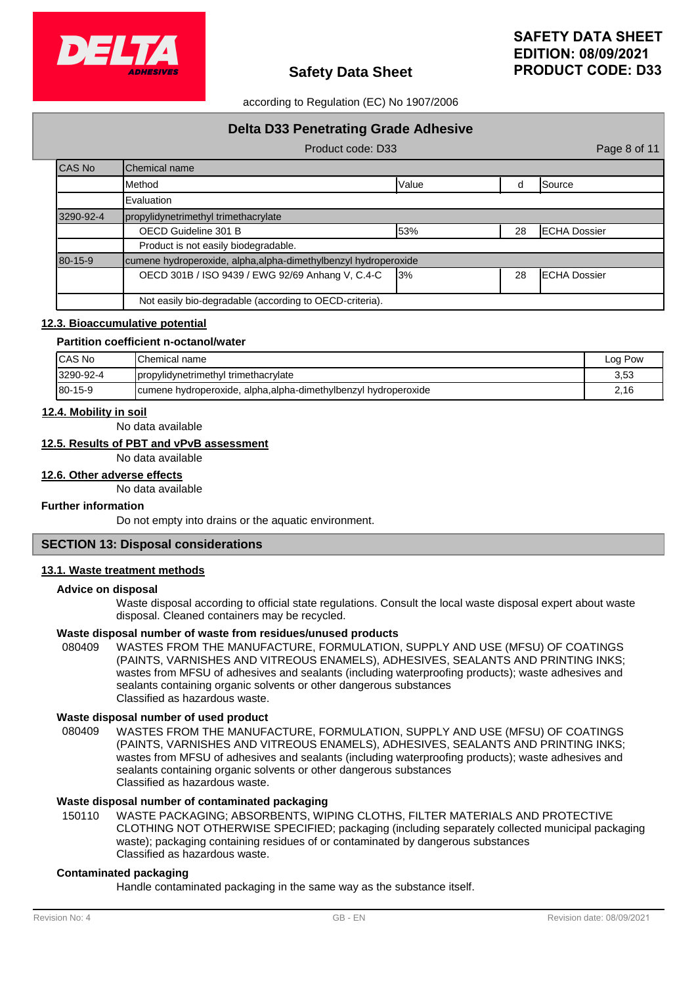

# according to Regulation (EC) No 1907/2006

|               | <b>Delta D33 Penetrating Grade Adhesive</b>                    |       |    |                      |
|---------------|----------------------------------------------------------------|-------|----|----------------------|
|               | Product code: D33                                              |       |    | Page 8 of 11         |
| CAS No        | <b>I</b> Chemical name                                         |       |    |                      |
|               | <b>I</b> Method                                                | Value | d  | <b>Source</b>        |
|               | Evaluation                                                     |       |    |                      |
| 3290-92-4     | propylidynetrimethyl trimethacrylate                           |       |    |                      |
|               | <b>IECHA Dossier</b><br>OECD Guideline 301 B<br>53%<br>28      |       |    |                      |
|               | Product is not easily biodegradable.                           |       |    |                      |
| $80 - 15 - 9$ | cumene hydroperoxide, alpha,alpha-dimethylbenzyl hydroperoxide |       |    |                      |
|               | OECD 301B / ISO 9439 / EWG 92/69 Anhang V, C.4-C               | 13%   | 28 | <b>IECHA Dossier</b> |
|               | Not easily bio-degradable (according to OECD-criteria).        |       |    |                      |

#### **12.3. Bioaccumulative potential**

#### **Partition coefficient n-octanol/water**

| ICAS No        | <b>IChemical name</b>                                           | Log Pow |
|----------------|-----------------------------------------------------------------|---------|
| 3290-92-4      | propylidynetrimethyl trimethacrylate                            | 3,53    |
| $180 - 15 - 9$ | cumene hydroperoxide, alpha, alpha-dimethylbenzyl hydroperoxide | 2,16    |

### **12.4. Mobility in soil**

No data available

# **12.5. Results of PBT and vPvB assessment**

No data available

# **12.6. Other adverse effects**

No data available

### **Further information**

Do not empty into drains or the aquatic environment.

# **SECTION 13: Disposal considerations**

#### **13.1. Waste treatment methods**

#### **Advice on disposal**

Waste disposal according to official state regulations. Consult the local waste disposal expert about waste disposal. Cleaned containers may be recycled.

#### **Waste disposal number of waste from residues/unused products**

080409 WASTES FROM THE MANUFACTURE, FORMULATION, SUPPLY AND USE (MFSU) OF COATINGS (PAINTS, VARNISHES AND VITREOUS ENAMELS), ADHESIVES, SEALANTS AND PRINTING INKS; wastes from MFSU of adhesives and sealants (including waterproofing products); waste adhesives and sealants containing organic solvents or other dangerous substances Classified as hazardous waste.

#### **Waste disposal number of used product**

WASTES FROM THE MANUFACTURE, FORMULATION, SUPPLY AND USE (MFSU) OF COATINGS (PAINTS, VARNISHES AND VITREOUS ENAMELS), ADHESIVES, SEALANTS AND PRINTING INKS; wastes from MFSU of adhesives and sealants (including waterproofing products); waste adhesives and sealants containing organic solvents or other dangerous substances Classified as hazardous waste. 080409

# **Waste disposal number of contaminated packaging**

WASTE PACKAGING; ABSORBENTS, WIPING CLOTHS, FILTER MATERIALS AND PROTECTIVE CLOTHING NOT OTHERWISE SPECIFIED; packaging (including separately collected municipal packaging waste); packaging containing residues of or contaminated by dangerous substances Classified as hazardous waste. 150110

#### **Contaminated packaging**

Handle contaminated packaging in the same way as the substance itself.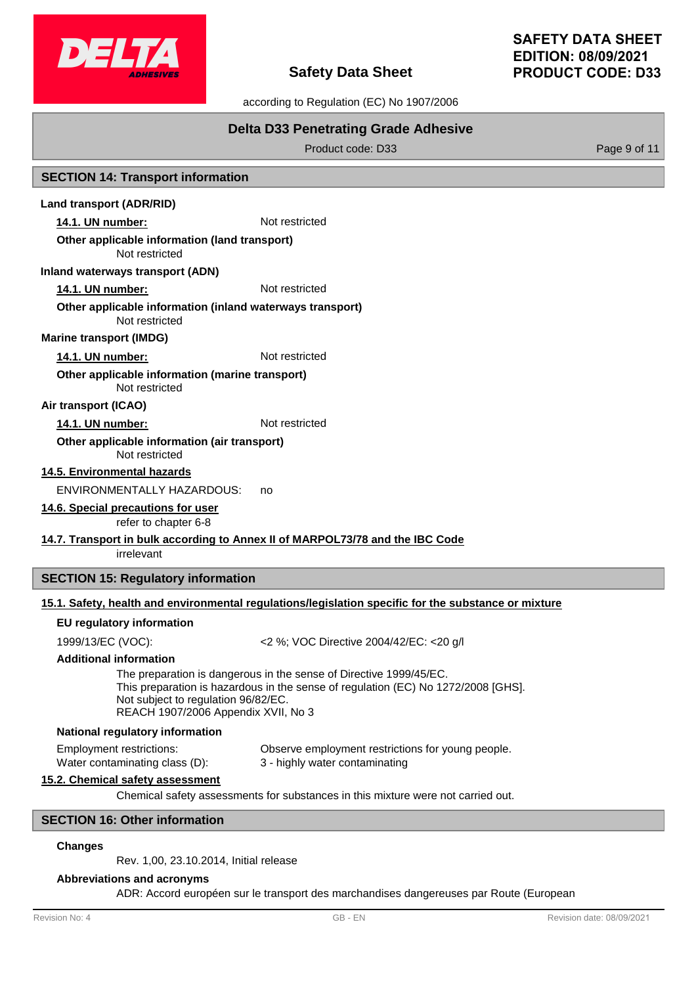

# **SAFETY DATA SHEET EDITION: 08/09/2021 PRODUCT CODE: D33**

according to Regulation (EC) No 1907/2006

# **Delta D33 Penetrating Grade Adhesive**

Product code: D33 Product code: D33

# **SECTION 14: Transport information**

# **Land transport (ADR/RID)**

**14.1. UN number:** Not restricted

# **Other applicable information (land transport)**

Not restricted

#### **Inland waterways transport (ADN)**

**14.1. UN number:** Not restricted

#### Not restricted **Other applicable information (inland waterways transport)**

**Marine transport (IMDG)**

# **14.1. UN number:** Not restricted

Not restricted **Other applicable information (marine transport)**

# **Air transport (ICAO)**

# 14.1. UN number: Not restricted

#### Not restricted **Other applicable information (air transport)**

**14.5. Environmental hazards**

ENVIRONMENTALLY HAZARDOUS: no

# **14.6. Special precautions for user**

refer to chapter 6-8

# **14.7. Transport in bulk according to Annex II of MARPOL73/78 and the IBC Code**

irrelevant

# **SECTION 15: Regulatory information**

# **15.1. Safety, health and environmental regulations/legislation specific for the substance or mixture**

# **EU regulatory information**

1999/13/EC (VOC): <2 %; VOC Directive 2004/42/EC: <20 g/l

# **Additional information**

The preparation is dangerous in the sense of Directive 1999/45/EC. This preparation is hazardous in the sense of regulation (EC) No 1272/2008 [GHS]. Not subject to regulation 96/82/EC. REACH 1907/2006 Appendix XVII, No 3

# **National regulatory information**

Employment restrictions: Observe employment restrictions for young people. Water contaminating class (D): 3 - highly water contaminating

# **15.2. Chemical safety assessment**

Chemical safety assessments for substances in this mixture were not carried out.

# **SECTION 16: Other information**

# **Changes**

Rev. 1,00, 23.10.2014, Initial release

# **Abbreviations and acronyms**

ADR: Accord européen sur le transport des marchandises dangereuses par Route (European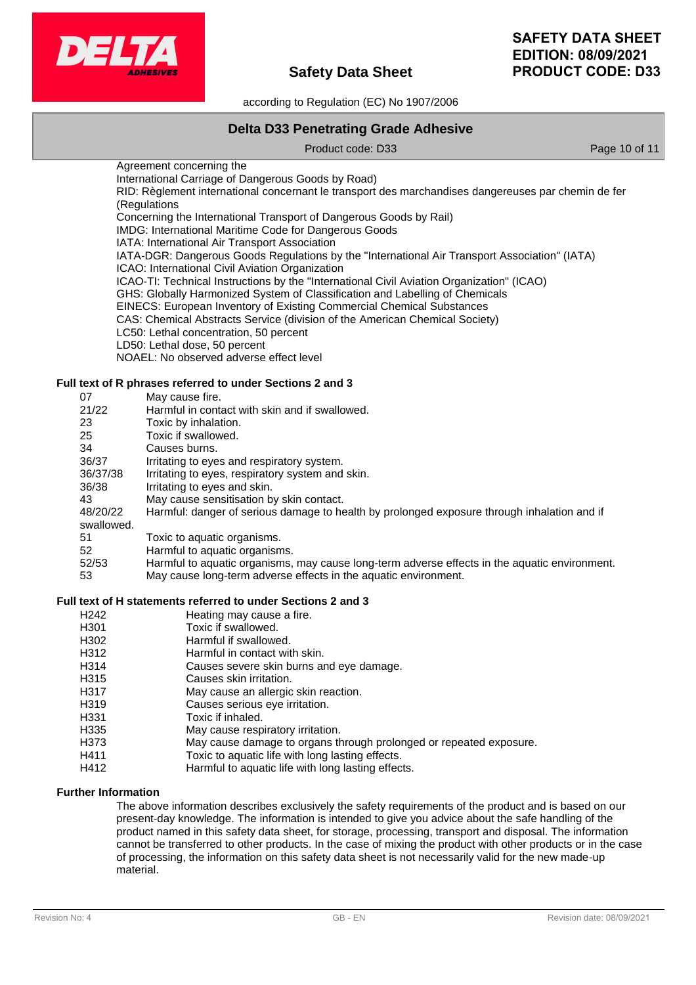

according to Regulation (EC) No 1907/2006

# **Delta D33 Penetrating Grade Adhesive**

Product code: D33 Product code: D33

Agreement concerning the International Carriage of Dangerous Goods by Road) RID: Règlement international concernant le transport des marchandises dangereuses par chemin de fer (Regulations Concerning the International Transport of Dangerous Goods by Rail)

IMDG: International Maritime Code for Dangerous Goods

IATA: International Air Transport Association

IATA-DGR: Dangerous Goods Regulations by the "International Air Transport Association" (IATA) ICAO: International Civil Aviation Organization

ICAO-TI: Technical Instructions by the "International Civil Aviation Organization" (ICAO)

GHS: Globally Harmonized System of Classification and Labelling of Chemicals

EINECS: European Inventory of Existing Commercial Chemical Substances

CAS: Chemical Abstracts Service (division of the American Chemical Society)

LC50: Lethal concentration, 50 percent

LD50: Lethal dose, 50 percent

NOAEL: No observed adverse effect level

# **Full text of R phrases referred to under Sections 2 and 3**

| 07         | May cause fire.                                                                               |
|------------|-----------------------------------------------------------------------------------------------|
| 21/22      | Harmful in contact with skin and if swallowed.                                                |
| 23         | Toxic by inhalation.                                                                          |
| 25         | Toxic if swallowed.                                                                           |
| 34         | Causes burns.                                                                                 |
| 36/37      | Irritating to eyes and respiratory system.                                                    |
| 36/37/38   | Irritating to eyes, respiratory system and skin.                                              |
| 36/38      | Irritating to eyes and skin.                                                                  |
| 43         | May cause sensitisation by skin contact.                                                      |
| 48/20/22   | Harmful: danger of serious damage to health by prolonged exposure through inhalation and if   |
| swallowed. |                                                                                               |
| 51         | Toxic to aquatic organisms.                                                                   |
| 52         | Harmful to aquatic organisms.                                                                 |
| 52/53      | Harmful to aquatic organisms, may cause long-term adverse effects in the aquatic environment. |
| 53         | May cause long-term adverse effects in the aguatic environment.                               |

# **Full text of H statements referred to under Sections 2 and 3**

- H242 Heating may cause a fire.
- H301 Toxic if swallowed.
- H302 Harmful if swallowed.
- H312 Harmful in contact with skin.
- H314 Causes severe skin burns and eye damage.
- H315 Causes skin irritation.
- H317 May cause an allergic skin reaction.
- H319 Causes serious eye irritation.<br>
H331 Toxic if inhaled.
- Toxic if inhaled.
- H335 May cause respiratory irritation.
- H373 May cause damage to organs through prolonged or repeated exposure.
- H411 Toxic to aquatic life with long lasting effects.
- H412 Harmful to aquatic life with long lasting effects.

# **Further Information**

The above information describes exclusively the safety requirements of the product and is based on our present-day knowledge. The information is intended to give you advice about the safe handling of the product named in this safety data sheet, for storage, processing, transport and disposal. The information cannot be transferred to other products. In the case of mixing the product with other products or in the case of processing, the information on this safety data sheet is not necessarily valid for the new made-up material.